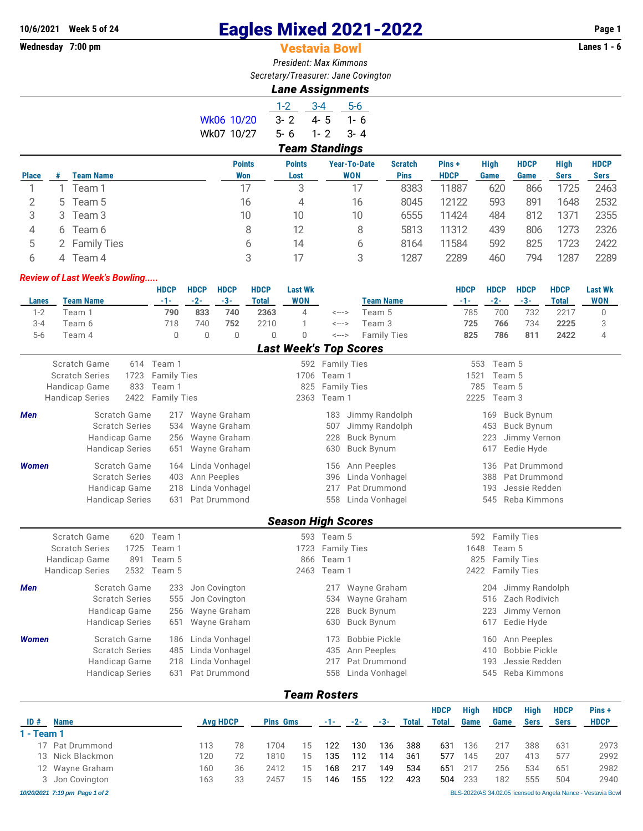## **10/6/2021 Week 5 of 24 Eagles Mixed 2021-2022 Page 1**

## **Vestavia Bowl**

*President: Max Kimmons Secretary/Treasurer: Jane Covington*

*Lane Assignments*

|            | $1-2$                 | $-3-4$  | $5-6$  |  |  |  |  |  |  |  |
|------------|-----------------------|---------|--------|--|--|--|--|--|--|--|
| Wk06 10/20 | $3 - 2$               | 4-5     | 1- რ   |  |  |  |  |  |  |  |
| Wk07 10/27 | 5-6                   | $1 - 2$ | - 3- 4 |  |  |  |  |  |  |  |
|            | <b>Team Standings</b> |         |        |  |  |  |  |  |  |  |

|              |    |                  | <b>Points</b> | <b>Points</b> | <b>Year-To-Date</b> | <b>Scratch</b> | Pins+       | <b>High</b> | <b>HDCP</b> | <b>High</b> | <b>HDCP</b> |
|--------------|----|------------------|---------------|---------------|---------------------|----------------|-------------|-------------|-------------|-------------|-------------|
| <b>Place</b> |    | <b>Team Name</b> | <b>Won</b>    | Lost          | <b>WON</b>          | <b>Pins</b>    | <b>HDCP</b> | Game        | Game        | <b>Sers</b> | <b>Sers</b> |
|              |    | Team 1           |               | 3             | 17                  | 8383           | 11887       | 620         | 866         | 1725        | 2463        |
|              | 5  | Team 5           | 16            | 4             | 16                  | 8045           | 12122       | 593         | 891         | 1648        | 2532        |
| 3            | 3. | Team 3           | 10            | 10            | 10                  | 6555           | 11424       | 484         | 812         | 1371        | 2355        |
| 4            | 6  | Team 6           | 8             | 12            | 8                   | 5813           | 11312       | 439         | 806         | 1273        | 2326        |
|              |    | 2 Family Ties    | b             | 14            | b                   | 8164           | 11584       | 592         | 825         | 1723        | 2422        |
|              |    | Team 4           |               |               | 3                   | 1287           | 2289        | 460         | 794         | 1287        | 2289        |

## *Review of Last Week's Bowling.....*

|                         |                            |      | <b>HDCP</b>        | <b>HDCP</b>  | <b>HDCP</b>          | <b>HDCP</b>          | <b>Last Wk</b>                |                    |                            | <b>HDCP</b>  | <b>HDCP</b>  | <b>HDCP</b>          | <b>HDCP</b>          | <b>Last Wk</b>            |
|-------------------------|----------------------------|------|--------------------|--------------|----------------------|----------------------|-------------------------------|--------------------|----------------------------|--------------|--------------|----------------------|----------------------|---------------------------|
| <b>Lanes</b><br>$1 - 2$ | <b>Team Name</b><br>Team 1 |      | $-1-$<br>790       | $-2-$<br>833 | $-3-$<br>740         | <b>Total</b><br>2363 | <b>WON</b><br>$\overline{4}$  | $\leftarrow$ --->  | <b>Team Name</b><br>Team 5 | $-1-$<br>785 | $-2-$<br>700 | $-3-$<br>732         | <b>Total</b><br>2217 | <b>WON</b><br>$\mathbf 0$ |
| $3 - 4$                 | Team 6                     |      | 718                | 740          | 752                  | 2210                 | 1                             | <--->              | Team 3                     | 725          | 766          | 734                  | 2225                 | 3                         |
| $5-6$                   | Team 4                     |      | $\mathsf{Q}$       | $\Omega$     | $\hbox{\large\it Q}$ | $\Box$               | $\Omega$                      | <--->              | <b>Family Ties</b>         | 825          | 786          | 811                  | 2422                 | $\overline{4}$            |
|                         |                            |      |                    |              |                      |                      | <b>Last Week's Top Scores</b> |                    |                            |              |              |                      |                      |                           |
|                         | Scratch Game               |      | 614 Team 1         |              |                      |                      |                               | 592 Family Ties    |                            | 553          | Team 5       |                      |                      |                           |
|                         | <b>Scratch Series</b>      | 1723 | <b>Family Ties</b> |              |                      |                      | 1706                          | Team 1             |                            | 1521         | Team 5       |                      |                      |                           |
|                         | Handicap Game              | 833  | Team 1             |              |                      |                      | 825                           | <b>Family Ties</b> |                            | 785          | Team 5       |                      |                      |                           |
|                         | <b>Handicap Series</b>     | 2422 | <b>Family Ties</b> |              |                      |                      | 2363                          | Team 1             |                            | 2225         | Team 3       |                      |                      |                           |
| <b>Men</b>              | Scratch Game               |      | 217                |              | Wayne Graham         |                      |                               | 183                | Jimmy Randolph             |              | 169          | <b>Buck Bynum</b>    |                      |                           |
|                         | <b>Scratch Series</b>      |      | 534                |              | Wayne Graham         |                      |                               | 507                | Jimmy Randolph             |              | 453          | <b>Buck Bynum</b>    |                      |                           |
|                         | Handicap Game              |      | 256                |              | Wayne Graham         |                      |                               | 228                | <b>Buck Bynum</b>          |              | 223          | Jimmy Vernon         |                      |                           |
|                         | <b>Handicap Series</b>     |      | 651                |              | Wayne Graham         |                      |                               | 630                | <b>Buck Bynum</b>          |              | 617          | Eedie Hyde           |                      |                           |
| <b>Women</b>            | Scratch Game               |      | 164                |              | Linda Vonhagel       |                      |                               | 156                | Ann Peeples                |              | 136          | Pat Drummond         |                      |                           |
|                         | <b>Scratch Series</b>      |      | 403                |              | Ann Peeples          |                      |                               | 396                | Linda Vonhagel             |              | 388          | Pat Drummond         |                      |                           |
|                         | Handicap Game              |      | 218                |              | Linda Vonhagel       |                      |                               | 217                | Pat Drummond               |              | 193          | Jessie Redden        |                      |                           |
|                         | <b>Handicap Series</b>     |      | 631                |              | Pat Drummond         |                      |                               | 558                | Linda Vonhagel             |              | 545          | Reba Kimmons         |                      |                           |
|                         |                            |      |                    |              |                      |                      | <b>Season High Scores</b>     |                    |                            |              |              |                      |                      |                           |
|                         | Scratch Game               | 620  | Team 1             |              |                      |                      |                               | 593 Team 5         |                            | 592          |              | <b>Family Ties</b>   |                      |                           |
|                         | <b>Scratch Series</b>      | 1725 | Team 1             |              |                      |                      | 1723                          | <b>Family Ties</b> |                            | 1648         | Team 5       |                      |                      |                           |
|                         | Handicap Game              | 891  | Team 5             |              |                      |                      | 866                           | Team 1             |                            | 825          |              | <b>Family Ties</b>   |                      |                           |
|                         | <b>Handicap Series</b>     | 2532 | Team 5             |              |                      |                      | 2463                          | Team 1             |                            | 2422         |              | <b>Family Ties</b>   |                      |                           |
| <b>Men</b>              | Scratch Game               |      | 233                |              | Jon Covington        |                      |                               | 217                | Wayne Graham               |              | 204          | Jimmy Randolph       |                      |                           |
|                         | <b>Scratch Series</b>      |      | 555                |              | Jon Covington        |                      |                               | 534                | Wayne Graham               |              | 516          | Zach Rodivich        |                      |                           |
|                         | Handicap Game              |      | 256                |              | Wayne Graham         |                      |                               | 228                | <b>Buck Bynum</b>          |              | 223          | Jimmy Vernon         |                      |                           |
|                         | <b>Handicap Series</b>     |      | 651                |              | Wayne Graham         |                      |                               | 630                | <b>Buck Bynum</b>          |              | 617          | Eedie Hyde           |                      |                           |
| <b>Women</b>            | Scratch Game               |      | 186                |              | Linda Vonhagel       |                      |                               | 173                | <b>Bobbie Pickle</b>       |              | 160          | Ann Peeples          |                      |                           |
|                         | <b>Scratch Series</b>      |      | 485                |              | Linda Vonhagel       |                      |                               | 435                | Ann Peeples                |              | 410          | <b>Bobbie Pickle</b> |                      |                           |
|                         | Handicap Game              |      | 218                |              | Linda Vonhagel       |                      |                               | 217                | Pat Drummond               |              | 193          | Jessie Redden        |                      |                           |
|                         | <b>Handicap Series</b>     |      | 631                |              | Pat Drummond         |                      |                               | 558                | Linda Vonhagel             |              | 545          | Reba Kimmons         |                      |                           |
|                         |                            |      |                    |              |                      |                      | <b>Team Rosters</b>           |                    |                            |              |              |                      |                      |                           |

| ID#<br><b>Name</b> |                                |     | <b>Avg HDCP</b><br><b>Pins Gms</b> |      | $-2-$<br>$-1-$ |     | $-3-$ | <b>Total</b> | <b>HDCP</b><br>Total | <b>High</b><br>Game | <b>HDCP</b><br>Game | Hiah<br><b>Sers</b> | <b>HDCP</b><br><b>Sers</b> | Pins+<br><b>HDCP</b> |                                                               |
|--------------------|--------------------------------|-----|------------------------------------|------|----------------|-----|-------|--------------|----------------------|---------------------|---------------------|---------------------|----------------------------|----------------------|---------------------------------------------------------------|
| $1 - Team 1$       |                                |     |                                    |      |                |     |       |              |                      |                     |                     |                     |                            |                      |                                                               |
|                    | 17 Pat Drummond                | 113 | 78                                 | 1704 | 15             | 122 | 130   | 136          | 388                  | 631                 | 136                 | 217                 | 388                        | 631                  | 2973                                                          |
|                    | 13 Nick Blackmon               | 120 |                                    | 1810 | 15             | 135 | 112   | 114          | 361                  | 577                 | 145                 | 207                 | 413                        | 577                  | 2992                                                          |
|                    | 12 Wayne Graham                | 160 | 36                                 | 2412 | 15             | 168 | 217   | 149          | 534                  | 651                 | 217                 | 256                 | 534                        | 651                  | 2982                                                          |
|                    | 3 Jon Covington                | 163 | 33                                 | 2457 | 15             | 146 | 155   | 122          | 423                  | 504                 | 233                 | 182                 | 555                        | 504                  | 2940                                                          |
|                    | 10/20/2021 7:19 pm Page 1 of 2 |     |                                    |      |                |     |       |              |                      |                     |                     |                     |                            |                      | BLS-2022/AS 34.02.05 licensed to Angela Nance - Vestavia Bowl |